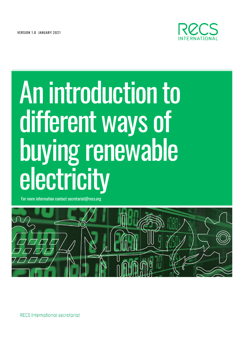VERSION 1.0 JANUARY 2021



# An introduction to different ways of buying renewable

For more information contact secretariat@recs.org



RECS International secretariat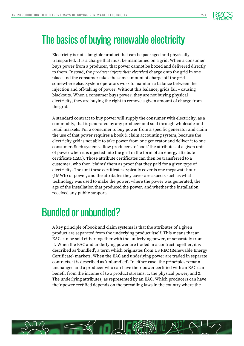

#### The basics of buying renewable electricity

Electricity is not a tangible product that can be packaged and physically transported. It is a charge that must be maintained on a grid. When a consumer buys power from a producer, that power cannot be boxed and delivered directly to them. Instead, the *producer injects their electrical* charge onto the grid in one place and the consumer takes the same amount of charge off the grid somewhere else. System operators work to maintain a balance between the injection and off-taking of power. Without this balance, grids fail – causing blackouts. When a consumer buys power, they are not buying physical electricity, they are buying the right to remove a given amount of charge from the grid.

A standard contract to buy power will supply the consumer with electricity, as a commodity, that is generated by any producer and sold through wholesale and retail markets. For a consumer to buy power from a specific generator and claim the use of that power requires a book & claim accounting system, because the electricity grid is not able to take power from one generator and deliver it to one consumer. Such systems allow producers to 'book' the attributes of a given unit of power when it is injected into the grid in the form of an energy attribute certificate (EAC). Those attribute certificates can then be transferred to a customer, who then 'claims' them as proof that they paid for a given type of electricity. The unit these certificates typically cover is one megawatt-hour (1MWh) of power, and the attributes they cover are aspects such as what technology was used to make the power, where the power was generated, the age of the installation that produced the power, and whether the installation received any public support.

## Bundled or unbundled?

A key principle of book and claim systems is that the attributes of a given product are separated from the underlying product itself. This means that an EAC can be sold either together with the underlying power, or separately from it. When the EAC and underlying power are traded in a contract together, it is described as 'bundled', a term which originates from US REC (Renewable Energy Certificate) markets. When the EAC and underlying power are traded in separate contracts, it is described as 'unbundled'. In either case, the principles remain unchanged and a producer who can have their power certified with an EAC can benefit from the income of two product streams: 1. the physical power, and 2. The underlying attributes, as represented by an EAC. Which producers can have their power certified depends on the prevailing laws in the country where the

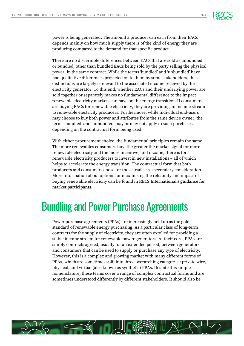

power is being generated. The amount a producer can earn from their EACs depends mainly on how much supply there is of the kind of energy they are producing compared to the demand for that specific product.

There are no discernible differences between EACs that are sold as unbundled or bundled, other than bundled EACs being sold by the party selling the physical power, in the same contract. While the terms 'bundled' and 'unbundled' have had qualitative differences projected on to them by some stakeholders, these distinctions are largely irrelevant to the associated income received by the electricity generator. To this end, whether EACs and their underlying power are sold together or separately makes no fundamental difference to the impact renewable electricity markets can have on the energy transition. If consumers are buying EACs for renewable electricity, they are providing an income stream to renewable electricity producers. Furthermore, while individual end-users may choose to buy both power and attributes from the same device owner, the terms 'bundled' and 'unbundled' may or may not apply to such purchases, depending on the contractual form being used.

With either procurement choice, the fundamental principles remain the same. The more renewables consumers buy, the greater the market signal for more renewable electricity and the more incentive, and income, there is for renewable electricity producers to invest in new installations – all of which helps to accelerate the energy transition. The contractual form that both producers and consumers chose for those trades is a secondary consideration. More information about options for maximising the reliability and impact of buying renewable electricity can be found in **[RECS International](https://www.recs.org/news/recs-international-publishes-guidance-for-market-participants)'s guidance for [market participants.](https://www.recs.org/news/recs-international-publishes-guidance-for-market-participants)**

#### Bundling and Power Purchase Agreements

Power purchase agreements (PPAs) are increasingly held up as the gold standard of renewable energy purchasing. As a particular class of long-term contracts for the supply of electricity, they are often extolled for providing a stable income stream for renewable power generators. At their core, PPAs are simply contracts agreed, usually for an extended period, between generators and consumers that can be used to supply or purchase any type of electricity. However, this is a complex and growing market with many different forms of PPAs, which are sometimes split into three overarching categories: private wire, physical, and virtual (also known as synthetic) PPAs. Despite this simple nomenclature, these terms cover a range of complex contractual forms and are sometimes understood differently by different stakeholders. It should also be